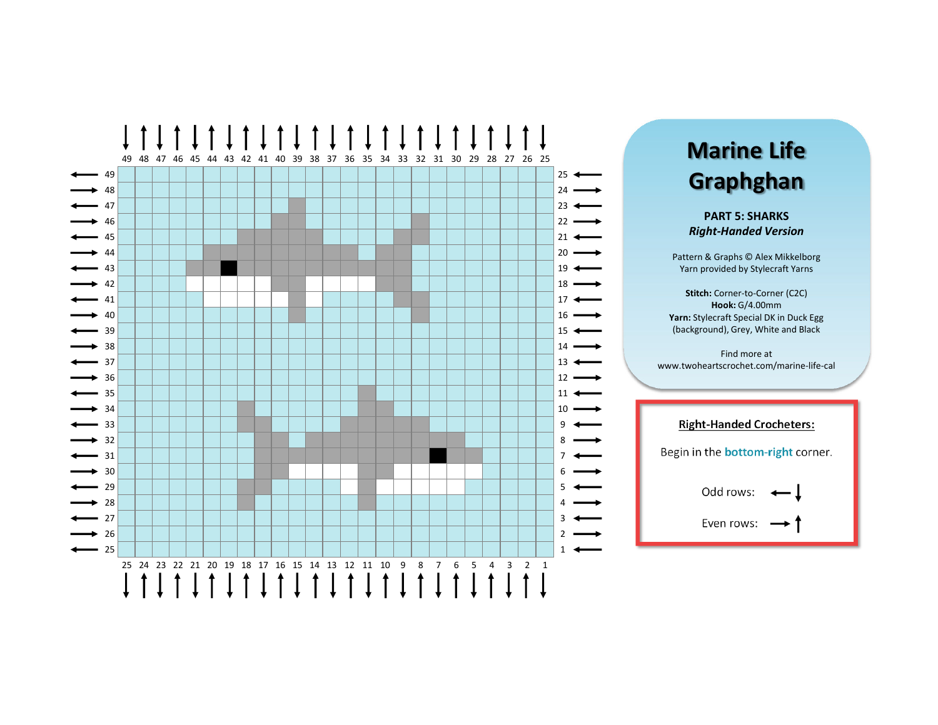

## **Marine Life Graphghan**

**PART 5: SHARKS** *Right‐Handed Version*

Pattern & Graphs © Alex Mikkelborg Yarn provided by Stylecraft Yarns

**Stitch:** Corner‐to‐Corner (C2C) **Hook:** G/4.00mm **Yarn:** Stylecraft Special DK in Duck Egg (background), Grey, White and Black

Find more at www.twoheartscrochet.com/marine‐life‐cal

## **Right‐Handed Crocheters:** Begin in the **bottom‐right** corner. Odd rows: Even rows: